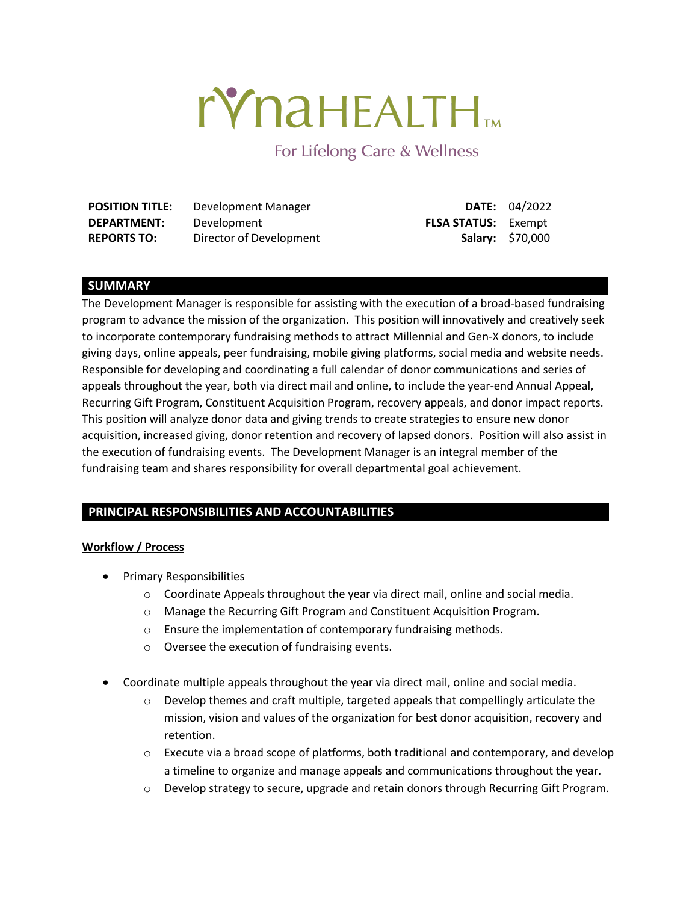# **rYnaHEALTH.**

For Lifelong Care & Wellness

| <b>POSITION TITLE:</b> | Development Manager     |                            | <b>DATE: 04/2022</b>    |
|------------------------|-------------------------|----------------------------|-------------------------|
| <b>DEPARTMENT:</b>     | Development             | <b>FLSA STATUS:</b> Exempt |                         |
| <b>REPORTS TO:</b>     | Director of Development |                            | <b>Salary: \$70,000</b> |

| <b>DATE:</b> | 04/2022          |
|--------------|------------------|
| FLSA STATUS: | Exempt           |
|              | Salary: \$70,000 |

## **SUMMARY**

The Development Manager is responsible for assisting with the execution of a broad-based fundraising program to advance the mission of the organization. This position will innovatively and creatively seek to incorporate contemporary fundraising methods to attract Millennial and Gen-X donors, to include giving days, online appeals, peer fundraising, mobile giving platforms, social media and website needs. Responsible for developing and coordinating a full calendar of donor communications and series of appeals throughout the year, both via direct mail and online, to include the year-end Annual Appeal, Recurring Gift Program, Constituent Acquisition Program, recovery appeals, and donor impact reports. This position will analyze donor data and giving trends to create strategies to ensure new donor acquisition, increased giving, donor retention and recovery of lapsed donors. Position will also assist in the execution of fundraising events. The Development Manager is an integral member of the fundraising team and shares responsibility for overall departmental goal achievement.

# **PRINCIPAL RESPONSIBILITIES AND ACCOUNTABILITIES**

#### **Workflow / Process**

- Primary Responsibilities
	- $\circ$  Coordinate Appeals throughout the year via direct mail, online and social media.
	- o Manage the Recurring Gift Program and Constituent Acquisition Program.
	- o Ensure the implementation of contemporary fundraising methods.
	- o Oversee the execution of fundraising events.
- Coordinate multiple appeals throughout the year via direct mail, online and social media.
	- Develop themes and craft multiple, targeted appeals that compellingly articulate the mission, vision and values of the organization for best donor acquisition, recovery and retention.
	- $\circ$  Execute via a broad scope of platforms, both traditional and contemporary, and develop a timeline to organize and manage appeals and communications throughout the year.
	- $\circ$  Develop strategy to secure, upgrade and retain donors through Recurring Gift Program.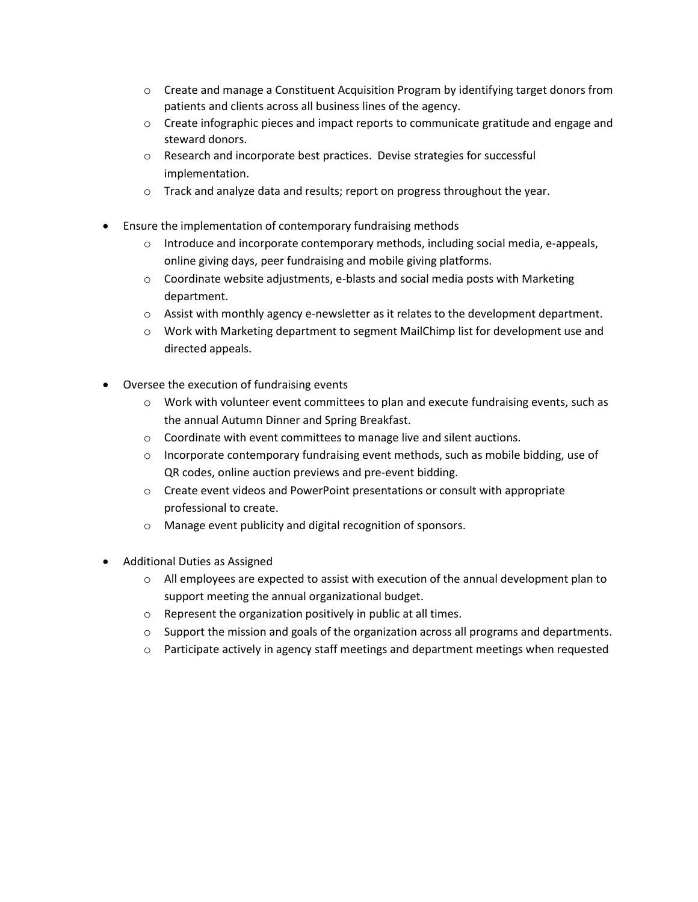- $\circ$  Create and manage a Constituent Acquisition Program by identifying target donors from patients and clients across all business lines of the agency.
- o Create infographic pieces and impact reports to communicate gratitude and engage and steward donors.
- o Research and incorporate best practices. Devise strategies for successful implementation.
- o Track and analyze data and results; report on progress throughout the year.
- Ensure the implementation of contemporary fundraising methods
	- $\circ$  Introduce and incorporate contemporary methods, including social media, e-appeals, online giving days, peer fundraising and mobile giving platforms.
	- $\circ$  Coordinate website adjustments, e-blasts and social media posts with Marketing department.
	- $\circ$  Assist with monthly agency e-newsletter as it relates to the development department.
	- o Work with Marketing department to segment MailChimp list for development use and directed appeals.
- Oversee the execution of fundraising events
	- $\circ$  Work with volunteer event committees to plan and execute fundraising events, such as the annual Autumn Dinner and Spring Breakfast.
	- o Coordinate with event committees to manage live and silent auctions.
	- $\circ$  Incorporate contemporary fundraising event methods, such as mobile bidding, use of QR codes, online auction previews and pre-event bidding.
	- $\circ$  Create event videos and PowerPoint presentations or consult with appropriate professional to create.
	- o Manage event publicity and digital recognition of sponsors.
- Additional Duties as Assigned
	- $\circ$  All employees are expected to assist with execution of the annual development plan to support meeting the annual organizational budget.
	- o Represent the organization positively in public at all times.
	- $\circ$  Support the mission and goals of the organization across all programs and departments.
	- $\circ$  Participate actively in agency staff meetings and department meetings when requested